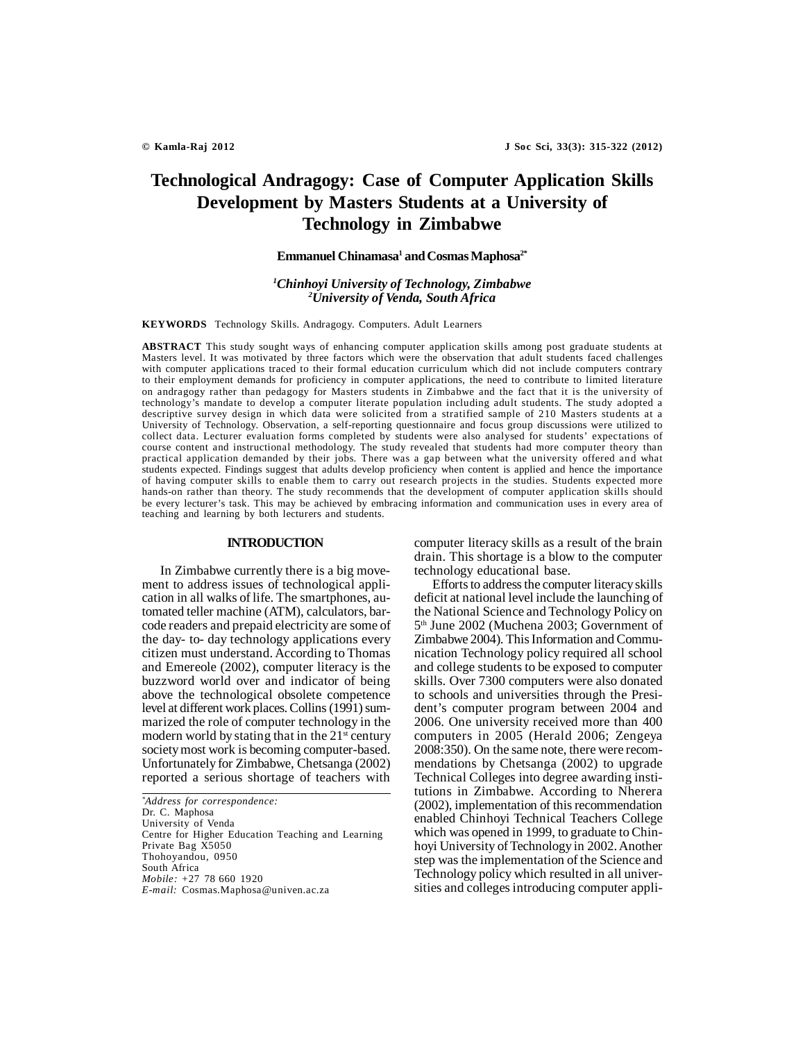# **Technological Andragogy: Case of Computer Application Skills Development by Masters Students at a University of Technology in Zimbabwe**

# **Emmanuel Chinamasa<sup>1</sup> and Cosmas Maphosa2\***

### *<sup>1</sup>Chinhoyi University of Technology, Zimbabwe <sup>2</sup>University of Venda, South Africa*

#### **KEYWORDS** Technology Skills. Andragogy. Computers. Adult Learners

**ABSTRACT** This study sought ways of enhancing computer application skills among post graduate students at Masters level. It was motivated by three factors which were the observation that adult students faced challenges with computer applications traced to their formal education curriculum which did not include computers contrary to their employment demands for proficiency in computer applications, the need to contribute to limited literature on andragogy rather than pedagogy for Masters students in Zimbabwe and the fact that it is the university of technology's mandate to develop a computer literate population including adult students. The study adopted a descriptive survey design in which data were solicited from a stratified sample of 210 Masters students at a University of Technology. Observation, a self-reporting questionnaire and focus group discussions were utilized to collect data. Lecturer evaluation forms completed by students were also analysed for students' expectations of course content and instructional methodology. The study revealed that students had more computer theory than practical application demanded by their jobs. There was a gap between what the university offered and what students expected. Findings suggest that adults develop proficiency when content is applied and hence the importance of having computer skills to enable them to carry out research projects in the studies. Students expected more hands-on rather than theory. The study recommends that the development of computer application skills should be every lecturer's task. This may be achieved by embracing information and communication uses in every area of teaching and learning by both lecturers and students.

#### **INTRODUCTION**

In Zimbabwe currently there is a big movement to address issues of technological application in all walks of life. The smartphones, automated teller machine (ATM), calculators, barcode readers and prepaid electricity are some of the day- to- day technology applications every citizen must understand. According to Thomas and Emereole (2002), computer literacy is the buzzword world over and indicator of being above the technological obsolete competence level at different work places. Collins (1991) summarized the role of computer technology in the modern world by stating that in the  $21<sup>st</sup>$  century society most work is becoming computer-based. Unfortunately for Zimbabwe, Chetsanga (2002) reported a serious shortage of teachers with

*\*Address for correspondence:* Dr. C. Maphosa University of Venda Centre for Higher Education Teaching and Learning Private Bag X5050 Thohoyandou, 0950 South Africa *Mobile:* +27 78 660 1920 *E-mail:* Cosmas.Maphosa@univen.ac.za

computer literacy skills as a result of the brain drain. This shortage is a blow to the computer technology educational base.

Efforts to address the computer literacy skills deficit at national level include the launching of the National Science and Technology Policy on 5 th June 2002 (Muchena 2003; Government of Zimbabwe 2004). This Information and Communication Technology policy required all school and college students to be exposed to computer skills. Over 7300 computers were also donated to schools and universities through the President's computer program between 2004 and 2006. One university received more than 400 computers in 2005 (Herald 2006; Zengeya 2008:350). On the same note, there were recommendations by Chetsanga (2002) to upgrade Technical Colleges into degree awarding institutions in Zimbabwe. According to Nherera (2002), implementation of this recommendation enabled Chinhoyi Technical Teachers College which was opened in 1999, to graduate to Chinhoyi University of Technology in 2002. Another step was the implementation of the Science and Technology policy which resulted in all universities and colleges introducing computer appli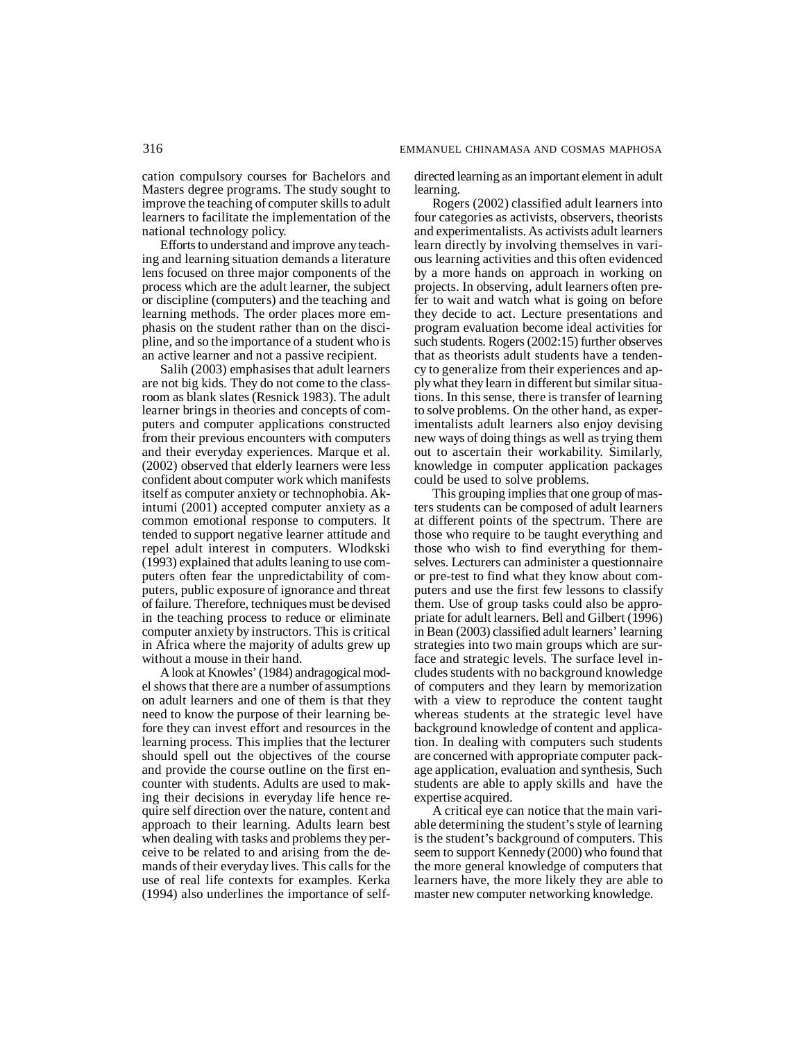cation compulsory courses for Bachelors and Masters degree programs. The study sought to improve the teaching of computer skills to adult learners to facilitate the implementation of the national technology policy.

Efforts to understand and improve any teaching and learning situation demands a literature lens focused on three major components of the process which are the adult learner, the subject or discipline (computers) and the teaching and learning methods. The order places more emphasis on the student rather than on the discipline, and so the importance of a student who is an active learner and not a passive recipient.

Salih (2003) emphasises that adult learners are not big kids. They do not come to the classroom as blank slates (Resnick 1983). The adult learner brings in theories and concepts of computers and computer applications constructed from their previous encounters with computers and their everyday experiences. Marque et al. (2002) observed that elderly learners were less confident about computer work which manifests itself as computer anxiety or technophobia. Akintumi (2001) accepted computer anxiety as a common emotional response to computers. It tended to support negative learner attitude and repel adult interest in computers. Wlodkski (1993) explained that adults leaning to use computers often fear the unpredictability of computers, public exposure of ignorance and threat of failure. Therefore, techniques must be devised in the teaching process to reduce or eliminate computer anxiety by instructors. This is critical in Africa where the majority of adults grew up without a mouse in their hand.

A look at Knowles' (1984) andragogical model shows that there are a number of assumptions on adult learners and one of them is that they need to know the purpose of their learning before they can invest effort and resources in the learning process. This implies that the lecturer should spell out the objectives of the course and provide the course outline on the first encounter with students. Adults are used to making their decisions in everyday life hence require self direction over the nature, content and approach to their learning. Adults learn best when dealing with tasks and problems they perceive to be related to and arising from the demands of their everyday lives. This calls for the use of real life contexts for examples. Kerka (1994) also underlines the importance of selfdirected learning as an important element in adult learning.

Rogers (2002) classified adult learners into four categories as activists, observers, theorists and experimentalists. As activists adult learners learn directly by involving themselves in various learning activities and this often evidenced by a more hands on approach in working on projects. In observing, adult learners often prefer to wait and watch what is going on before they decide to act. Lecture presentations and program evaluation become ideal activities for such students. Rogers (2002:15) further observes that as theorists adult students have a tendency to generalize from their experiences and apply what they learn in different but similar situations. In this sense, there is transfer of learning to solve problems. On the other hand, as experimentalists adult learners also enjoy devising new ways of doing things as well as trying them out to ascertain their workability. Similarly, knowledge in computer application packages could be used to solve problems.

This grouping implies that one group of masters students can be composed of adult learners at different points of the spectrum. There are those who require to be taught everything and those who wish to find everything for themselves. Lecturers can administer a questionnaire or pre-test to find what they know about computers and use the first few lessons to classify them. Use of group tasks could also be appropriate for adult learners. Bell and Gilbert (1996) in Bean (2003) classified adult learners' learning strategies into two main groups which are surface and strategic levels. The surface level includes students with no background knowledge of computers and they learn by memorization with a view to reproduce the content taught whereas students at the strategic level have background knowledge of content and application. In dealing with computers such students are concerned with appropriate computer package application, evaluation and synthesis, Such students are able to apply skills and have the expertise acquired.

A critical eye can notice that the main variable determining the student's style of learning is the student's background of computers. This seem to support Kennedy (2000) who found that the more general knowledge of computers that learners have, the more likely they are able to master new computer networking knowledge.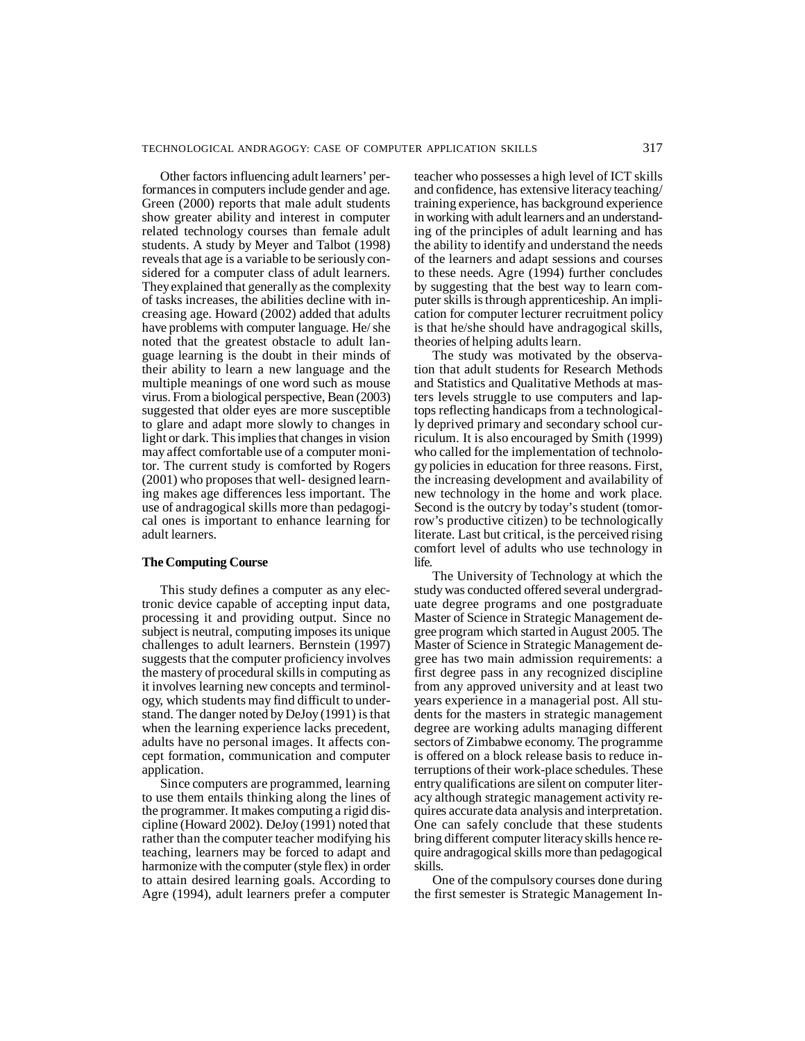Other factors influencing adult learners' performances in computers include gender and age. Green (2000) reports that male adult students show greater ability and interest in computer related technology courses than female adult students. A study by Meyer and Talbot (1998) reveals that age is a variable to be seriously considered for a computer class of adult learners. They explained that generally as the complexity of tasks increases, the abilities decline with increasing age. Howard (2002) added that adults have problems with computer language. He/ she noted that the greatest obstacle to adult language learning is the doubt in their minds of their ability to learn a new language and the multiple meanings of one word such as mouse virus. From a biological perspective, Bean (2003) suggested that older eyes are more susceptible to glare and adapt more slowly to changes in light or dark. This implies that changes in vision may affect comfortable use of a computer monitor. The current study is comforted by Rogers (2001) who proposes that well- designed learning makes age differences less important. The use of andragogical skills more than pedagogical ones is important to enhance learning for adult learners.

# **The Computing Course**

This study defines a computer as any electronic device capable of accepting input data, processing it and providing output. Since no subject is neutral, computing imposes its unique challenges to adult learners. Bernstein (1997) suggests that the computer proficiency involves the mastery of procedural skills in computing as it involves learning new concepts and terminology, which students may find difficult to understand. The danger noted by DeJoy (1991) is that when the learning experience lacks precedent, adults have no personal images. It affects concept formation, communication and computer application.

Since computers are programmed, learning to use them entails thinking along the lines of the programmer. It makes computing a rigid discipline (Howard 2002). DeJoy (1991) noted that rather than the computer teacher modifying his teaching, learners may be forced to adapt and harmonize with the computer (style flex) in order to attain desired learning goals. According to Agre (1994), adult learners prefer a computer teacher who possesses a high level of ICT skills and confidence, has extensive literacy teaching/ training experience, has background experience in working with adult learners and an understanding of the principles of adult learning and has the ability to identify and understand the needs of the learners and adapt sessions and courses to these needs. Agre (1994) further concludes by suggesting that the best way to learn computer skills is through apprenticeship. An implication for computer lecturer recruitment policy is that he/she should have andragogical skills, theories of helping adults learn.

The study was motivated by the observation that adult students for Research Methods and Statistics and Qualitative Methods at masters levels struggle to use computers and laptops reflecting handicaps from a technologically deprived primary and secondary school curriculum. It is also encouraged by Smith (1999) who called for the implementation of technology policies in education for three reasons. First, the increasing development and availability of new technology in the home and work place. Second is the outcry by today's student (tomorrow's productive citizen) to be technologically literate. Last but critical, is the perceived rising comfort level of adults who use technology in life.

The University of Technology at which the study was conducted offered several undergraduate degree programs and one postgraduate Master of Science in Strategic Management degree program which started in August 2005. The Master of Science in Strategic Management degree has two main admission requirements: a first degree pass in any recognized discipline from any approved university and at least two years experience in a managerial post. All students for the masters in strategic management degree are working adults managing different sectors of Zimbabwe economy. The programme is offered on a block release basis to reduce interruptions of their work-place schedules. These entry qualifications are silent on computer literacy although strategic management activity requires accurate data analysis and interpretation. One can safely conclude that these students bring different computer literacy skills hence require andragogical skills more than pedagogical skills.

One of the compulsory courses done during the first semester is Strategic Management In-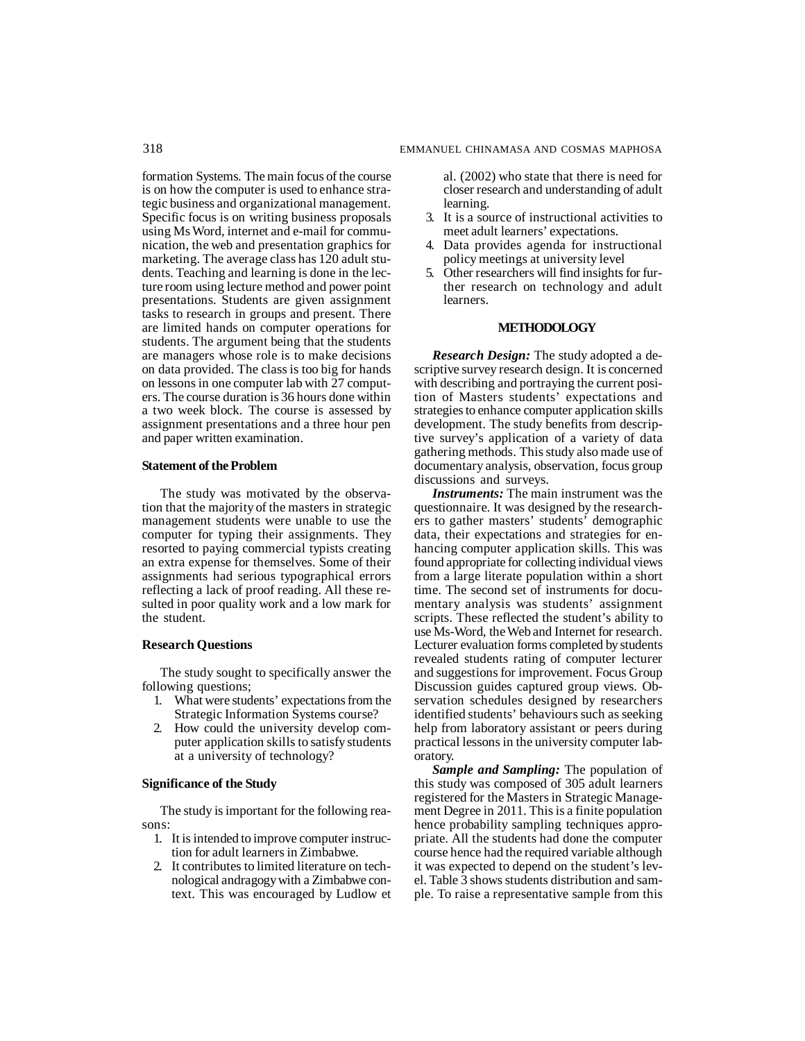#### 318 EMMANUEL CHINAMASA AND COSMAS MAPHOSA

formation Systems. The main focus of the course is on how the computer is used to enhance strategic business and organizational management. Specific focus is on writing business proposals using Ms Word, internet and e-mail for communication, the web and presentation graphics for marketing. The average class has 120 adult students. Teaching and learning is done in the lecture room using lecture method and power point presentations. Students are given assignment tasks to research in groups and present. There are limited hands on computer operations for students. The argument being that the students are managers whose role is to make decisions on data provided. The class is too big for hands on lessons in one computer lab with 27 computers. The course duration is 36 hours done within a two week block. The course is assessed by assignment presentations and a three hour pen and paper written examination.

### **Statement of the Problem**

The study was motivated by the observation that the majority of the masters in strategic management students were unable to use the computer for typing their assignments. They resorted to paying commercial typists creating an extra expense for themselves. Some of their assignments had serious typographical errors reflecting a lack of proof reading. All these resulted in poor quality work and a low mark for the student.

#### **Research Questions**

The study sought to specifically answer the following questions;

- 1. What were students' expectations from the Strategic Information Systems course?
- 2. How could the university develop computer application skills to satisfy students at a university of technology?

#### **Significance of the Study**

The study is important for the following reasons:

- 1. It is intended to improve computer instruction for adult learners in Zimbabwe.
- 2. It contributes to limited literature on technological andragogy with a Zimbabwe context. This was encouraged by Ludlow et

al. (2002) who state that there is need for closer research and understanding of adult learning.

- 3. It is a source of instructional activities to meet adult learners' expectations.
- 4. Data provides agenda for instructional policy meetings at university level
- 5. Other researchers will find insights for further research on technology and adult learners.

### **METHODOLOGY**

*Research Design:* The study adopted a descriptive survey research design. It is concerned with describing and portraying the current position of Masters students' expectations and strategies to enhance computer application skills development. The study benefits from descriptive survey's application of a variety of data gathering methods. This study also made use of documentary analysis, observation, focus group discussions and surveys.

*Instruments:* The main instrument was the questionnaire. It was designed by the researchers to gather masters' students' demographic data, their expectations and strategies for enhancing computer application skills. This was found appropriate for collecting individual views from a large literate population within a short time. The second set of instruments for documentary analysis was students' assignment scripts. These reflected the student's ability to use Ms-Word, the Web and Internet for research. Lecturer evaluation forms completed by students revealed students rating of computer lecturer and suggestions for improvement. Focus Group Discussion guides captured group views. Observation schedules designed by researchers identified students' behaviours such as seeking help from laboratory assistant or peers during practical lessons in the university computer laboratory.

*Sample and Sampling:* The population of this study was composed of 305 adult learners registered for the Masters in Strategic Management Degree in 2011. This is a finite population hence probability sampling techniques appropriate. All the students had done the computer course hence had the required variable although it was expected to depend on the student's level. Table 3 shows students distribution and sample. To raise a representative sample from this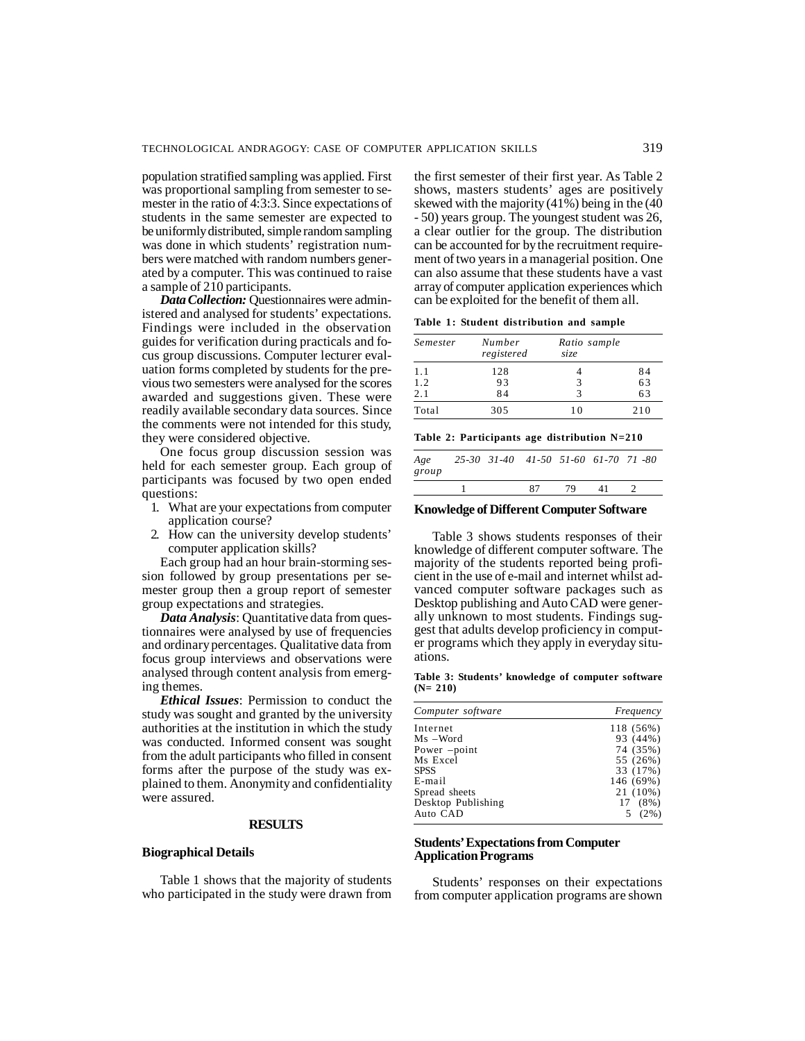population stratified sampling was applied. First was proportional sampling from semester to semester in the ratio of 4:3:3. Since expectations of students in the same semester are expected to be uniformly distributed, simple random sampling was done in which students' registration numbers were matched with random numbers generated by a computer. This was continued to raise a sample of 210 participants.

*Data Collection:* Questionnaires were administered and analysed for students' expectations. Findings were included in the observation guides for verification during practicals and focus group discussions. Computer lecturer evaluation forms completed by students for the previous two semesters were analysed for the scores awarded and suggestions given. These were readily available secondary data sources. Since the comments were not intended for this study, they were considered objective.

One focus group discussion session was held for each semester group. Each group of participants was focused by two open ended questions:

- 1. What are your expectations from computer application course?
- 2. How can the university develop students' computer application skills?

Each group had an hour brain-storming session followed by group presentations per semester group then a group report of semester group expectations and strategies.

*Data Analysis*: Quantitative data from questionnaires were analysed by use of frequencies and ordinary percentages. Qualitative data from focus group interviews and observations were analysed through content analysis from emerging themes.

*Ethical Issues*: Permission to conduct the study was sought and granted by the university authorities at the institution in which the study was conducted. Informed consent was sought from the adult participants who filled in consent forms after the purpose of the study was explained to them. Anonymity and confidentiality were assured.

# **RESULTS**

# **Biographical Details**

Table 1 shows that the majority of students who participated in the study were drawn from the first semester of their first year. As Table 2 shows, masters students' ages are positively skewed with the majority (41%) being in the (40 - 50) years group. The youngest student was 26, a clear outlier for the group. The distribution can be accounted for by the recruitment requirement of two years in a managerial position. One can also assume that these students have a vast array of computer application experiences which can be exploited for the benefit of them all.

**Table 1: Student distribution and sample**

| Semester | Number<br>registered | Ratio sample<br>size |     |
|----------|----------------------|----------------------|-----|
| 1.1      | 128                  |                      | 84  |
| 1.2      | 93                   | 3                    | 63  |
| 2.1      | 84                   |                      | 63  |
| Total    | 305                  | 10                   | 210 |

#### **Table 2: Participants age distribution N=210**

| Age<br>group | 25-30 31-40 41-50 51-60 61-70 71-80 |    |      |    |  |
|--------------|-------------------------------------|----|------|----|--|
|              |                                     | 87 | - 79 | 41 |  |

#### **Knowledge of Different Computer Software**

Table 3 shows students responses of their knowledge of different computer software. The majority of the students reported being proficient in the use of e-mail and internet whilst advanced computer software packages such as Desktop publishing and Auto CAD were generally unknown to most students. Findings suggest that adults develop proficiency in computer programs which they apply in everyday situations.

**Table 3: Students' knowledge of computer software (N= 210)**

| Computer software  | Frequency |  |  |
|--------------------|-----------|--|--|
| Internet           | 118 (56%) |  |  |
| Ms –Word           | 93 (44%)  |  |  |
| Power –point       | 74 (35%)  |  |  |
| Ms Excel           | 55 (26%)  |  |  |
| SPSS               | 33 (17%)  |  |  |
| E-mail             | 146 (69%) |  |  |
| Spread sheets      | 21 (10%)  |  |  |
| Desktop Publishing | 17 (8%)   |  |  |
| Auto CAD           | 5(2%)     |  |  |

## **Students' Expectations from Computer Application Programs**

Students' responses on their expectations from computer application programs are shown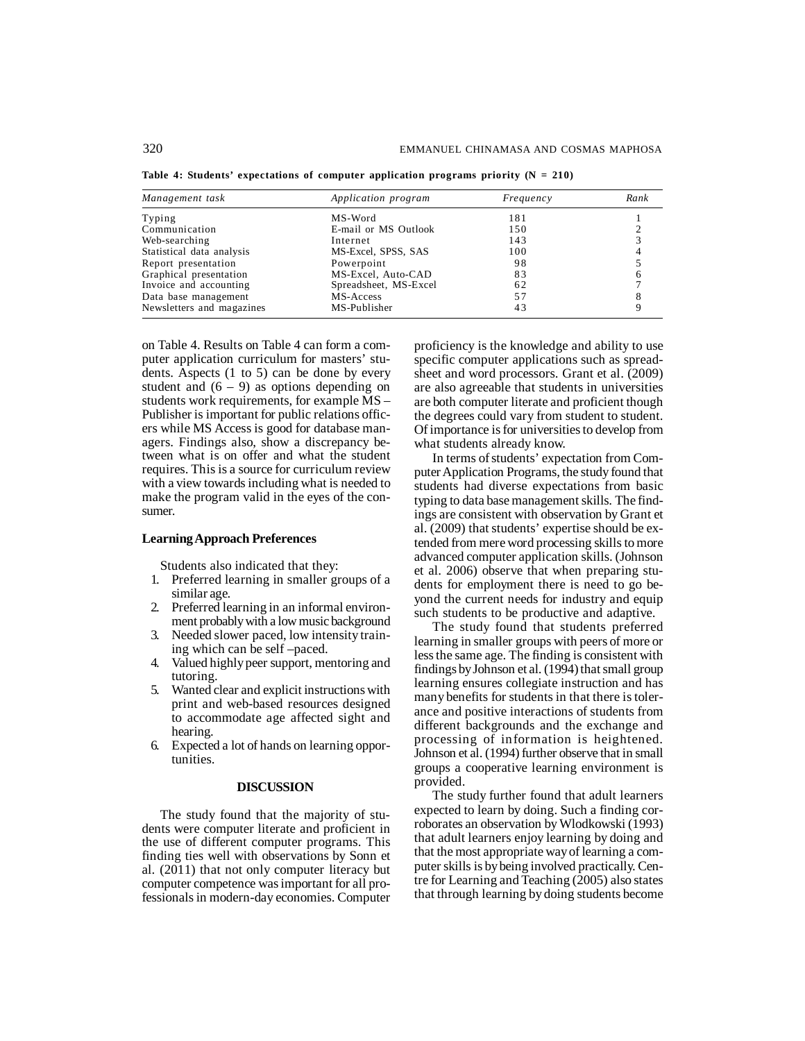**Table 4: Students' expectations of computer application programs priority (N = 210)**

| Management task           | Application program   | Frequency | Rank |  |
|---------------------------|-----------------------|-----------|------|--|
| Typing                    | MS-Word               | 181       |      |  |
| Communication             | E-mail or MS Outlook  | 150       |      |  |
| Web-searching             | Internet              | 143       |      |  |
| Statistical data analysis | MS-Excel, SPSS, SAS   | 100       |      |  |
| Report presentation       | Powerpoint            | 98        |      |  |
| Graphical presentation    | MS-Excel, Auto-CAD    | 83        |      |  |
| Invoice and accounting    | Spreadsheet, MS-Excel | 62        |      |  |
| Data base management      | MS-Access             | 57        |      |  |
| Newsletters and magazines | MS-Publisher          | 43        |      |  |

on Table 4. Results on Table 4 can form a computer application curriculum for masters' students. Aspects (1 to 5) can be done by every student and  $(6 - 9)$  as options depending on students work requirements, for example MS – Publisher is important for public relations officers while MS Access is good for database managers. Findings also, show a discrepancy between what is on offer and what the student requires. This is a source for curriculum review with a view towards including what is needed to make the program valid in the eyes of the consumer.

## **Learning Approach Preferences**

Students also indicated that they:

- 1. Preferred learning in smaller groups of a similar age.
- 2. Preferred learning in an informal environment probably with a low music background
- 3. Needed slower paced, low intensity training which can be self –paced.
- 4. Valued highly peer support, mentoring and tutoring.
- 5. Wanted clear and explicit instructions with print and web-based resources designed to accommodate age affected sight and hearing.
- 6. Expected a lot of hands on learning opportunities.

#### **DISCUSSION**

The study found that the majority of students were computer literate and proficient in the use of different computer programs. This finding ties well with observations by Sonn et al. (2011) that not only computer literacy but computer competence was important for all professionals in modern-day economies. Computer proficiency is the knowledge and ability to use specific computer applications such as spreadsheet and word processors. Grant et al. (2009) are also agreeable that students in universities are both computer literate and proficient though the degrees could vary from student to student. Of importance is for universities to develop from what students already know.

In terms of students' expectation from Computer Application Programs, the study found that students had diverse expectations from basic typing to data base management skills. The findings are consistent with observation by Grant et al. (2009) that students' expertise should be extended from mere word processing skills to more advanced computer application skills. (Johnson et al. 2006) observe that when preparing students for employment there is need to go beyond the current needs for industry and equip such students to be productive and adaptive.

The study found that students preferred learning in smaller groups with peers of more or less the same age. The finding is consistent with findings by Johnson et al. (1994) that small group learning ensures collegiate instruction and has many benefits for students in that there is tolerance and positive interactions of students from different backgrounds and the exchange and processing of information is heightened. Johnson et al. (1994) further observe that in small groups a cooperative learning environment is provided.

The study further found that adult learners expected to learn by doing. Such a finding corroborates an observation by Wlodkowski (1993) that adult learners enjoy learning by doing and that the most appropriate way of learning a computer skills is by being involved practically. Centre for Learning and Teaching (2005) also states that through learning by doing students become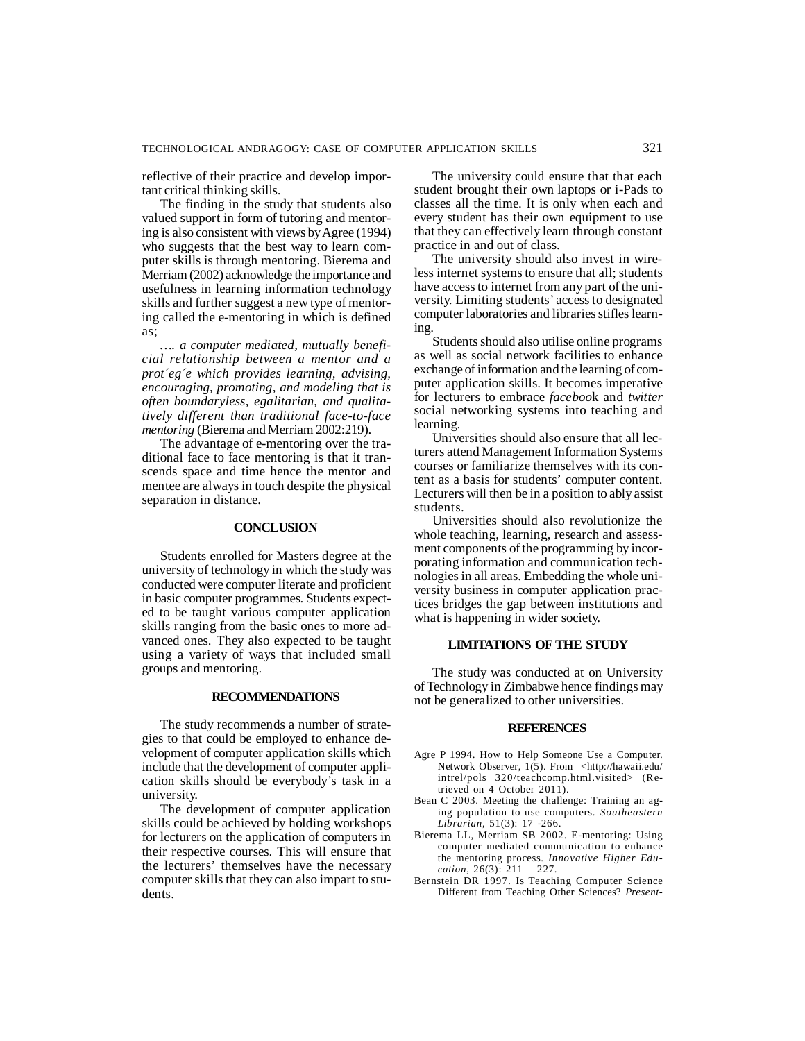reflective of their practice and develop important critical thinking skills.

The finding in the study that students also valued support in form of tutoring and mentoring is also consistent with views by Agree (1994) who suggests that the best way to learn computer skills is through mentoring. Bierema and Merriam (2002) acknowledge the importance and usefulness in learning information technology skills and further suggest a new type of mentoring called the e-mentoring in which is defined as;

*…. a computer mediated, mutually beneficial relationship between a mentor and a prot´eg´e which provides learning, advising, encouraging, promoting, and modeling that is often boundaryless, egalitarian, and qualitatively different than traditional face-to-face mentoring* (Bierema and Merriam 2002:219).

The advantage of e-mentoring over the traditional face to face mentoring is that it transcends space and time hence the mentor and mentee are always in touch despite the physical separation in distance.

# **CONCLUSION**

Students enrolled for Masters degree at the university of technology in which the study was conducted were computer literate and proficient in basic computer programmes. Students expected to be taught various computer application skills ranging from the basic ones to more advanced ones. They also expected to be taught using a variety of ways that included small groups and mentoring.

#### **RECOMMENDATIONS**

The study recommends a number of strategies to that could be employed to enhance development of computer application skills which include that the development of computer application skills should be everybody's task in a university.

The development of computer application skills could be achieved by holding workshops for lecturers on the application of computers in their respective courses. This will ensure that the lecturers' themselves have the necessary computer skills that they can also impart to students.

The university could ensure that that each student brought their own laptops or i-Pads to classes all the time. It is only when each and every student has their own equipment to use that they can effectively learn through constant practice in and out of class.

The university should also invest in wireless internet systems to ensure that all; students have access to internet from any part of the university. Limiting students' access to designated computer laboratories and libraries stifles learning.

Students should also utilise online programs as well as social network facilities to enhance exchange of information and the learning of computer application skills. It becomes imperative for lecturers to embrace *faceboo*k and *twitter* social networking systems into teaching and learning.

Universities should also ensure that all lecturers attend Management Information Systems courses or familiarize themselves with its content as a basis for students' computer content. Lecturers will then be in a position to ably assist students.

Universities should also revolutionize the whole teaching, learning, research and assessment components of the programming by incorporating information and communication technologies in all areas. Embedding the whole university business in computer application practices bridges the gap between institutions and what is happening in wider society.

### **LIMITATIONS OF THE STUDY**

The study was conducted at on University of Technology in Zimbabwe hence findings may not be generalized to other universities.

#### **REFERENCES**

- Agre P 1994. How to Help Someone Use a Computer. Network Observer,  $1(5)$ . From <http://hawaii.edu/ intrel/pols 320/teachcomp.html.visited> (Retrieved on 4 October 2011).
- Bean C 2003. Meeting the challenge: Training an aging population to use computers. *Southeastern Librarian*, 51(3): 17 -266.
- Bierema LL, Merriam SB 2002. E-mentoring: Using computer mediated communication to enhance the mentoring process. *Innovative Higher Education*, 26(3): 211 – 227.
- Bernstein DR 1997. Is Teaching Computer Science Different from Teaching Other Sciences? *Present-*